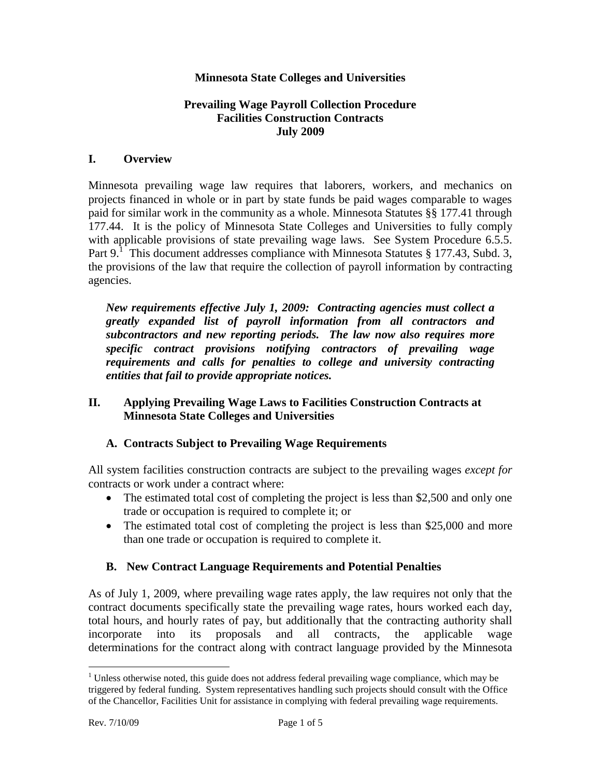#### **Minnesota State Colleges and Universities**

#### **Prevailing Wage Payroll Collection Procedure Facilities Construction Contracts July 2009**

#### **I. Overview**

Minnesota prevailing wage law requires that laborers, workers, and mechanics on projects financed in whole or in part by state funds be paid wages comparable to wages paid for similar work in the community as a whole. Minnesota Statutes §§ 177.41 through 177.44. It is the policy of Minnesota State Colleges and Universities to fully comply with applicable provisions of state prevailing wage laws. See System Procedure 6.5.5. Part  $9.1$  This document addresses compliance with Minnesota Statutes § 177.43, Subd. 3, the provisions of the law that require the collection of payroll information by contracting agencies.

*New requirements effective July 1, 2009: Contracting agencies must collect a greatly expanded list of payroll information from all contractors and subcontractors and new reporting periods. The law now also requires more specific contract provisions notifying contractors of prevailing wage requirements and calls for penalties to college and university contracting entities that fail to provide appropriate notices.* 

### **II. Applying Prevailing Wage Laws to Facilities Construction Contracts at Minnesota State Colleges and Universities**

### **A. Contracts Subject to Prevailing Wage Requirements**

All system facilities construction contracts are subject to the prevailing wages *except for* contracts or work under a contract where:

- The estimated total cost of completing the project is less than \$2,500 and only one trade or occupation is required to complete it; or
- The estimated total cost of completing the project is less than \$25,000 and more than one trade or occupation is required to complete it.

### **B. New Contract Language Requirements and Potential Penalties**

As of July 1, 2009, where prevailing wage rates apply, the law requires not only that the contract documents specifically state the prevailing wage rates, hours worked each day, total hours, and hourly rates of pay, but additionally that the contracting authority shall incorporate into its proposals and all contracts, the applicable wage determinations for the contract along with contract language provided by the Minnesota

 $\overline{a}$ 

<sup>&</sup>lt;sup>1</sup> Unless otherwise noted, this guide does not address federal prevailing wage compliance, which may be triggered by federal funding. System representatives handling such projects should consult with the Office of the Chancellor, Facilities Unit for assistance in complying with federal prevailing wage requirements.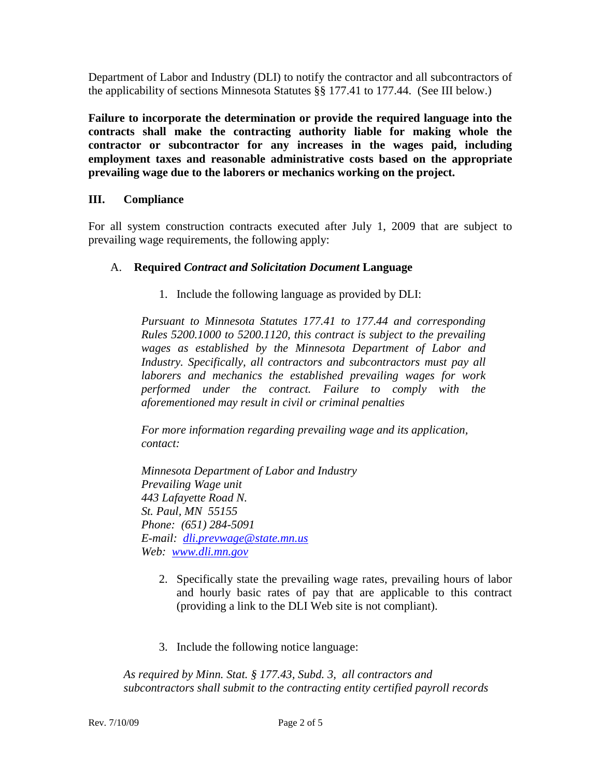Department of Labor and Industry (DLI) to notify the contractor and all subcontractors of the applicability of sections Minnesota Statutes §§ 177.41 to 177.44. (See III below.)

**Failure to incorporate the determination or provide the required language into the contracts shall make the contracting authority liable for making whole the contractor or subcontractor for any increases in the wages paid, including employment taxes and reasonable administrative costs based on the appropriate prevailing wage due to the laborers or mechanics working on the project.**

## **III. Compliance**

For all system construction contracts executed after July 1, 2009 that are subject to prevailing wage requirements, the following apply:

## A. **Required** *Contract and Solicitation Document* **Language**

1. Include the following language as provided by DLI:

*Pursuant to Minnesota Statutes 177.41 to 177.44 and corresponding Rules 5200.1000 to 5200.1120, this contract is subject to the prevailing wages as established by the Minnesota Department of Labor and Industry. Specifically, all contractors and subcontractors must pay all laborers and mechanics the established prevailing wages for work performed under the contract. Failure to comply with the aforementioned may result in civil or criminal penalties*

*For more information regarding prevailing wage and its application, contact:*

*Minnesota Department of Labor and Industry Prevailing Wage unit 443 Lafayette Road N. St. Paul, MN 55155 Phone: (651) 284-5091 E-mail: [dli.prevwage@state.mn.us](mailto:dli.prevwage@state.mn.us) Web: [www.dli.mn.gov](http://www.dli.mn.gov/)*

- 2. Specifically state the prevailing wage rates, prevailing hours of labor and hourly basic rates of pay that are applicable to this contract (providing a link to the DLI Web site is not compliant).
- 3. Include the following notice language:

*As required by Minn. Stat. § 177.43, Subd. 3, all contractors and subcontractors shall submit to the contracting entity certified payroll records*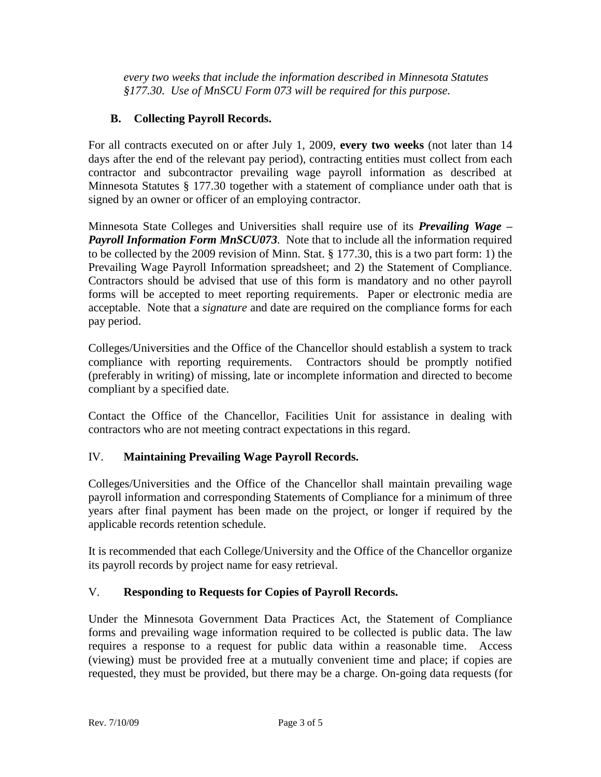*every two weeks that include the information described in Minnesota Statutes §177.30. Use of MnSCU Form 073 will be required for this purpose.*

# **B. Collecting Payroll Records.**

For all contracts executed on or after July 1, 2009, **every two weeks** (not later than 14 days after the end of the relevant pay period), contracting entities must collect from each contractor and subcontractor prevailing wage payroll information as described at Minnesota Statutes § 177.30 together with a statement of compliance under oath that is signed by an owner or officer of an employing contractor.

Minnesota State Colleges and Universities shall require use of its *Prevailing Wage – Payroll Information Form MnSCU073.* Note that to include all the information required to be collected by the 2009 revision of Minn. Stat. § 177.30, this is a two part form: 1) the Prevailing Wage Payroll Information spreadsheet; and 2) the Statement of Compliance. Contractors should be advised that use of this form is mandatory and no other payroll forms will be accepted to meet reporting requirements. Paper or electronic media are acceptable. Note that a *signature* and date are required on the compliance forms for each pay period.

Colleges/Universities and the Office of the Chancellor should establish a system to track compliance with reporting requirements. Contractors should be promptly notified (preferably in writing) of missing, late or incomplete information and directed to become compliant by a specified date.

Contact the Office of the Chancellor, Facilities Unit for assistance in dealing with contractors who are not meeting contract expectations in this regard.

## IV. **Maintaining Prevailing Wage Payroll Records.**

Colleges/Universities and the Office of the Chancellor shall maintain prevailing wage payroll information and corresponding Statements of Compliance for a minimum of three years after final payment has been made on the project, or longer if required by the applicable records retention schedule.

It is recommended that each College/University and the Office of the Chancellor organize its payroll records by project name for easy retrieval.

### V. **Responding to Requests for Copies of Payroll Records.**

Under the Minnesota Government Data Practices Act, the Statement of Compliance forms and prevailing wage information required to be collected is public data. The law requires a response to a request for public data within a reasonable time. Access (viewing) must be provided free at a mutually convenient time and place; if copies are requested, they must be provided, but there may be a charge. On-going data requests (for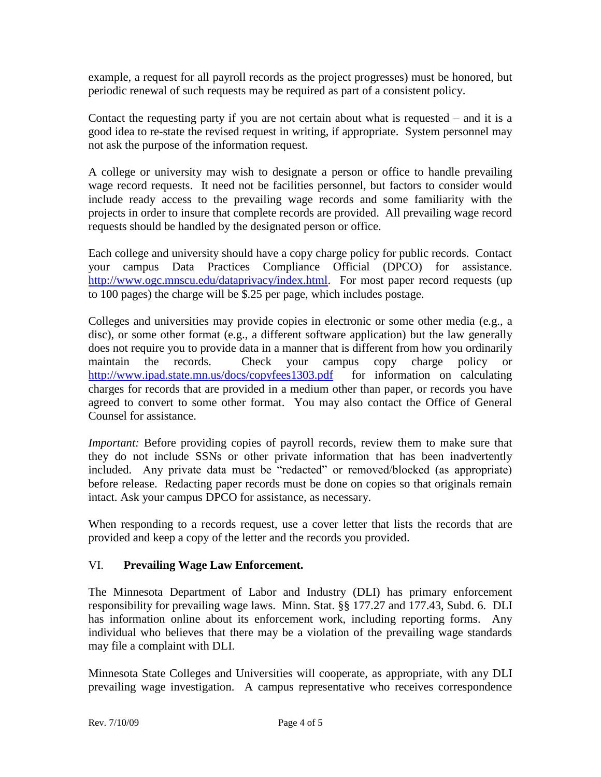example, a request for all payroll records as the project progresses) must be honored, but periodic renewal of such requests may be required as part of a consistent policy.

Contact the requesting party if you are not certain about what is requested – and it is a good idea to re-state the revised request in writing, if appropriate. System personnel may not ask the purpose of the information request.

A college or university may wish to designate a person or office to handle prevailing wage record requests. It need not be facilities personnel, but factors to consider would include ready access to the prevailing wage records and some familiarity with the projects in order to insure that complete records are provided. All prevailing wage record requests should be handled by the designated person or office.

Each college and university should have a copy charge policy for public records. Contact your campus Data Practices Compliance Official (DPCO) for assistance. [http://www.ogc.mnscu.edu/dataprivacy/index.html.](http://www.ogc.mnscu.edu/dataprivacy/index.html)For most paper record requests (up to 100 pages) the charge will be \$.25 per page, which includes postage.

Colleges and universities may provide copies in electronic or some other media (e.g., a disc), or some other format (e.g., a different software application) but the law generally does not require you to provide data in a manner that is different from how you ordinarily maintain the records. Check your campus copy charge policy or <http://www.ipad.state.mn.us/docs/copyfees1303.pdf> for information on calculating charges for records that are provided in a medium other than paper, or records you have agreed to convert to some other format. You may also contact the Office of General Counsel for assistance.

*Important:* Before providing copies of payroll records, review them to make sure that they do not include SSNs or other private information that has been inadvertently included. Any private data must be "redacted" or removed/blocked (as appropriate) before release. Redacting paper records must be done on copies so that originals remain intact. Ask your campus DPCO for assistance, as necessary.

When responding to a records request, use a cover letter that lists the records that are provided and keep a copy of the letter and the records you provided.

### VI. **Prevailing Wage Law Enforcement.**

The Minnesota Department of Labor and Industry (DLI) has primary enforcement responsibility for prevailing wage laws. Minn. Stat. §§ 177.27 and 177.43, Subd. 6. DLI has information online about its enforcement work, including reporting forms. Any individual who believes that there may be a violation of the prevailing wage standards may file a complaint with DLI.

Minnesota State Colleges and Universities will cooperate, as appropriate, with any DLI prevailing wage investigation. A campus representative who receives correspondence